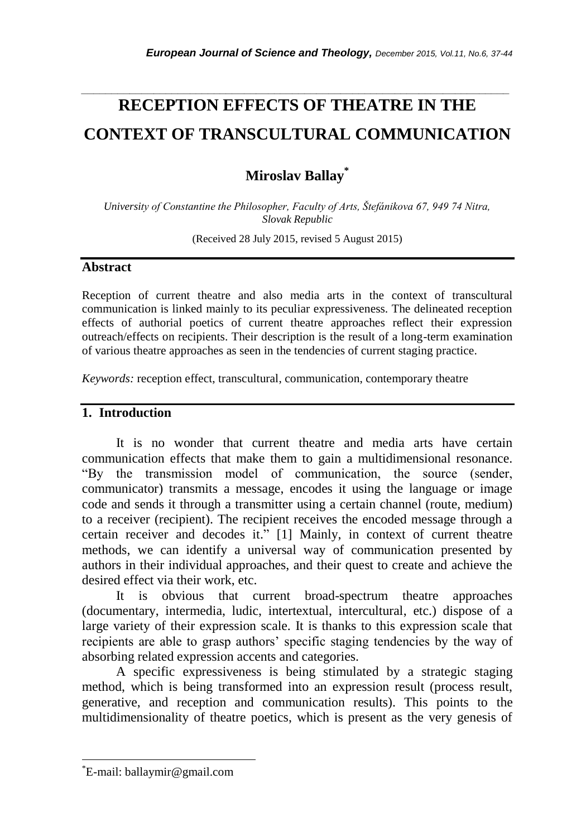# **RECEPTION EFFECTS OF THEATRE IN THE CONTEXT OF TRANSCULTURAL COMMUNICATION**

*\_\_\_\_\_\_\_\_\_\_\_\_\_\_\_\_\_\_\_\_\_\_\_\_\_\_\_\_\_\_\_\_\_\_\_\_\_\_\_\_\_\_\_\_\_\_\_\_\_\_\_\_\_\_\_\_\_\_\_\_\_\_\_\_\_\_\_\_\_\_\_*

**Miroslav Ballay\***

*University of Constantine the Philosopher, Faculty of Arts, Štefánikova 67, 949 74 Nitra, Slovak Republic*

(Received 28 July 2015, revised 5 August 2015)

#### **Abstract**

Reception of current theatre and also media arts in the context of transcultural communication is linked mainly to its peculiar expressiveness. The delineated reception effects of authorial poetics of current theatre approaches reflect their expression outreach/effects on recipients. Their description is the result of a long-term examination of various theatre approaches as seen in the tendencies of current staging practice.

*Keywords:* reception effect, transcultural, communication, contemporary theatre

## **1. Introduction**

It is no wonder that current theatre and media arts have certain communication effects that make them to gain a multidimensional resonance. "By the transmission model of communication, the source (sender, communicator) transmits a message, encodes it using the language or image code and sends it through a transmitter using a certain channel (route, medium) to a receiver (recipient). The recipient receives the encoded message through a certain receiver and decodes it." [1] Mainly, in context of current theatre methods, we can identify a universal way of communication presented by authors in their individual approaches, and their quest to create and achieve the desired effect via their work, etc.

It is obvious that current broad-spectrum theatre approaches (documentary, intermedia, ludic, intertextual, intercultural, etc.) dispose of a large variety of their expression scale. It is thanks to this expression scale that recipients are able to grasp authors" specific staging tendencies by the way of absorbing related expression accents and categories.

A specific expressiveness is being stimulated by a strategic staging method, which is being transformed into an expression result (process result, generative, and reception and communication results). This points to the multidimensionality of theatre poetics, which is present as the very genesis of

l

<sup>\*</sup>E-mail: ballaymir@gmail.com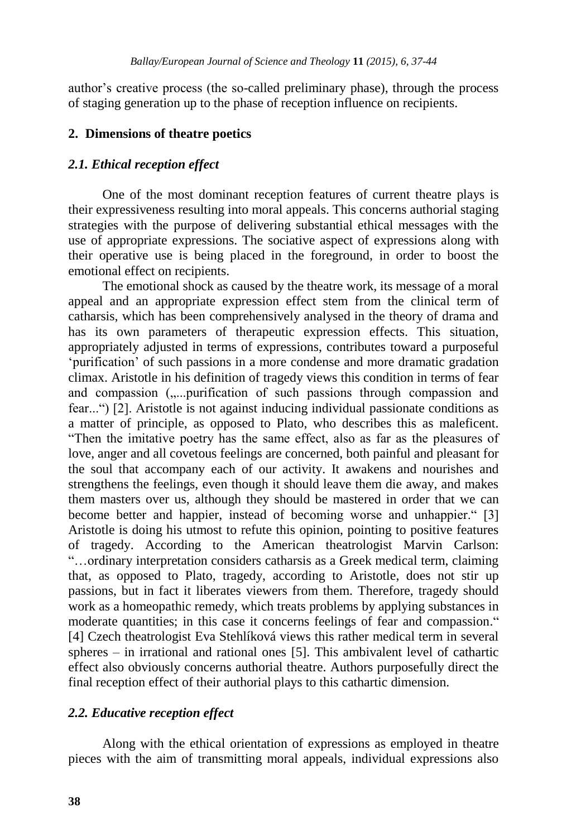author"s creative process (the so-called preliminary phase), through the process of staging generation up to the phase of reception influence on recipients.

### **2. Dimensions of theatre poetics**

### *2.1. Ethical reception effect*

One of the most dominant reception features of current theatre plays is their expressiveness resulting into moral appeals. This concerns authorial staging strategies with the purpose of delivering substantial ethical messages with the use of appropriate expressions. The sociative aspect of expressions along with their operative use is being placed in the foreground, in order to boost the emotional effect on recipients.

The emotional shock as caused by the theatre work, its message of a moral appeal and an appropriate expression effect stem from the clinical term of catharsis, which has been comprehensively analysed in the theory of drama and has its own parameters of therapeutic expression effects. This situation, appropriately adjusted in terms of expressions, contributes toward a purposeful "purification" of such passions in a more condense and more dramatic gradation climax. Aristotle in his definition of tragedy views this condition in terms of fear and compassion (.....purification of such passions through compassion and fear...") [2]. Aristotle is not against inducing individual passionate conditions as a matter of principle, as opposed to Plato, who describes this as maleficent. "Then the imitative poetry has the same effect, also as far as the pleasures of love, anger and all covetous feelings are concerned, both painful and pleasant for the soul that accompany each of our activity. It awakens and nourishes and strengthens the feelings, even though it should leave them die away, and makes them masters over us, although they should be mastered in order that we can become better and happier, instead of becoming worse and unhappier." [3] Aristotle is doing his utmost to refute this opinion, pointing to positive features of tragedy. According to the American theatrologist Marvin Carlson: "…ordinary interpretation considers catharsis as a Greek medical term, claiming that, as opposed to Plato, tragedy, according to Aristotle, does not stir up passions, but in fact it liberates viewers from them. Therefore, tragedy should work as a homeopathic remedy, which treats problems by applying substances in moderate quantities; in this case it concerns feelings of fear and compassion." [4] Czech theatrologist Eva Stehlíková views this rather medical term in several spheres – in irrational and rational ones [5]. This ambivalent level of cathartic effect also obviously concerns authorial theatre. Authors purposefully direct the final reception effect of their authorial plays to this cathartic dimension.

## *2.2. Educative reception effect*

Along with the ethical orientation of expressions as employed in theatre pieces with the aim of transmitting moral appeals, individual expressions also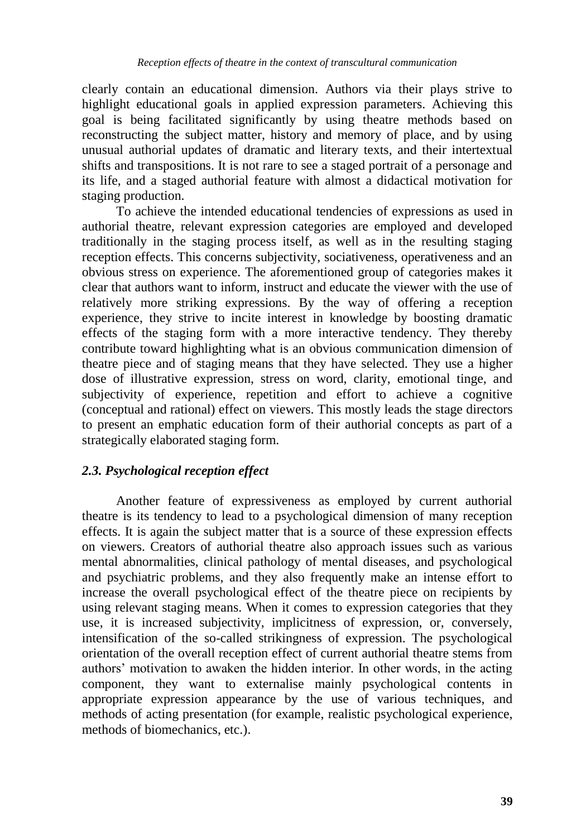clearly contain an educational dimension. Authors via their plays strive to highlight educational goals in applied expression parameters. Achieving this goal is being facilitated significantly by using theatre methods based on reconstructing the subject matter, history and memory of place, and by using unusual authorial updates of dramatic and literary texts, and their intertextual shifts and transpositions. It is not rare to see a staged portrait of a personage and its life, and a staged authorial feature with almost a didactical motivation for staging production.

To achieve the intended educational tendencies of expressions as used in authorial theatre, relevant expression categories are employed and developed traditionally in the staging process itself, as well as in the resulting staging reception effects. This concerns subjectivity, sociativeness, operativeness and an obvious stress on experience. The aforementioned group of categories makes it clear that authors want to inform, instruct and educate the viewer with the use of relatively more striking expressions. By the way of offering a reception experience, they strive to incite interest in knowledge by boosting dramatic effects of the staging form with a more interactive tendency. They thereby contribute toward highlighting what is an obvious communication dimension of theatre piece and of staging means that they have selected. They use a higher dose of illustrative expression, stress on word, clarity, emotional tinge, and subjectivity of experience, repetition and effort to achieve a cognitive (conceptual and rational) effect on viewers. This mostly leads the stage directors to present an emphatic education form of their authorial concepts as part of a strategically elaborated staging form.

# *2.3. Psychological reception effect*

Another feature of expressiveness as employed by current authorial theatre is its tendency to lead to a psychological dimension of many reception effects. It is again the subject matter that is a source of these expression effects on viewers. Creators of authorial theatre also approach issues such as various mental abnormalities, clinical pathology of mental diseases, and psychological and psychiatric problems, and they also frequently make an intense effort to increase the overall psychological effect of the theatre piece on recipients by using relevant staging means. When it comes to expression categories that they use, it is increased subjectivity, implicitness of expression, or, conversely, intensification of the so-called strikingness of expression. The psychological orientation of the overall reception effect of current authorial theatre stems from authors" motivation to awaken the hidden interior. In other words, in the acting component, they want to externalise mainly psychological contents in appropriate expression appearance by the use of various techniques, and methods of acting presentation (for example, realistic psychological experience, methods of biomechanics, etc.).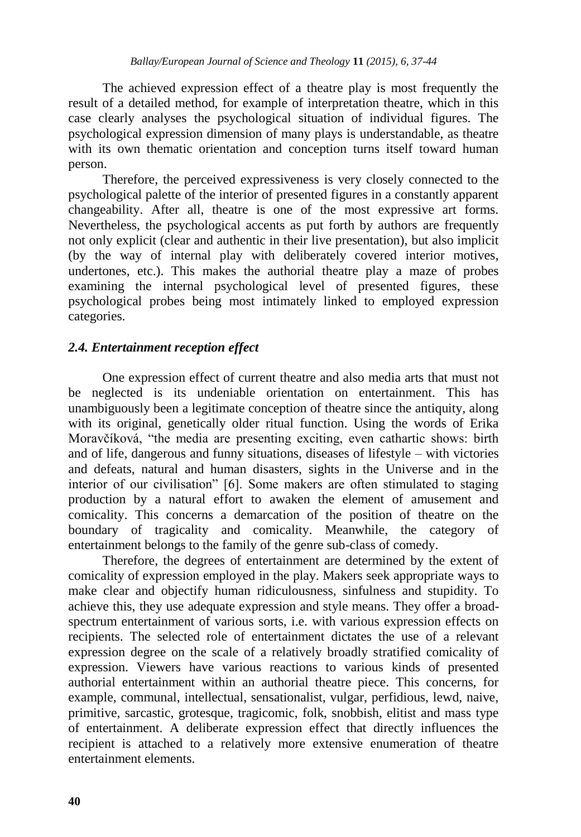The achieved expression effect of a theatre play is most frequently the result of a detailed method, for example of interpretation theatre, which in this case clearly analyses the psychological situation of individual figures. The psychological expression dimension of many plays is understandable, as theatre with its own thematic orientation and conception turns itself toward human person.

Therefore, the perceived expressiveness is very closely connected to the psychological palette of the interior of presented figures in a constantly apparent changeability. After all, theatre is one of the most expressive art forms. Nevertheless, the psychological accents as put forth by authors are frequently not only explicit (clear and authentic in their live presentation), but also implicit (by the way of internal play with deliberately covered interior motives, undertones, etc.). This makes the authorial theatre play a maze of probes examining the internal psychological level of presented figures, these psychological probes being most intimately linked to employed expression categories.

# *2.4. Entertainment reception effect*

One expression effect of current theatre and also media arts that must not be neglected is its undeniable orientation on entertainment. This has unambiguously been a legitimate conception of theatre since the antiquity, along with its original, genetically older ritual function. Using the words of Erika Moravčíková, "the media are presenting exciting, even cathartic shows: birth and of life, dangerous and funny situations, diseases of lifestyle – with victories and defeats, natural and human disasters, sights in the Universe and in the interior of our civilisation" [6]. Some makers are often stimulated to staging production by a natural effort to awaken the element of amusement and comicality. This concerns a demarcation of the position of theatre on the boundary of tragicality and comicality. Meanwhile, the category of entertainment belongs to the family of the genre sub-class of comedy.

Therefore, the degrees of entertainment are determined by the extent of comicality of expression employed in the play. Makers seek appropriate ways to make clear and objectify human ridiculousness, sinfulness and stupidity. To achieve this, they use adequate expression and style means. They offer a broadspectrum entertainment of various sorts, i.e. with various expression effects on recipients. The selected role of entertainment dictates the use of a relevant expression degree on the scale of a relatively broadly stratified comicality of expression. Viewers have various reactions to various kinds of presented authorial entertainment within an authorial theatre piece. This concerns, for example, communal, intellectual, sensationalist, vulgar, perfidious, lewd, naive, primitive, sarcastic, grotesque, tragicomic, folk, snobbish, elitist and mass type of entertainment. A deliberate expression effect that directly influences the recipient is attached to a relatively more extensive enumeration of theatre entertainment elements.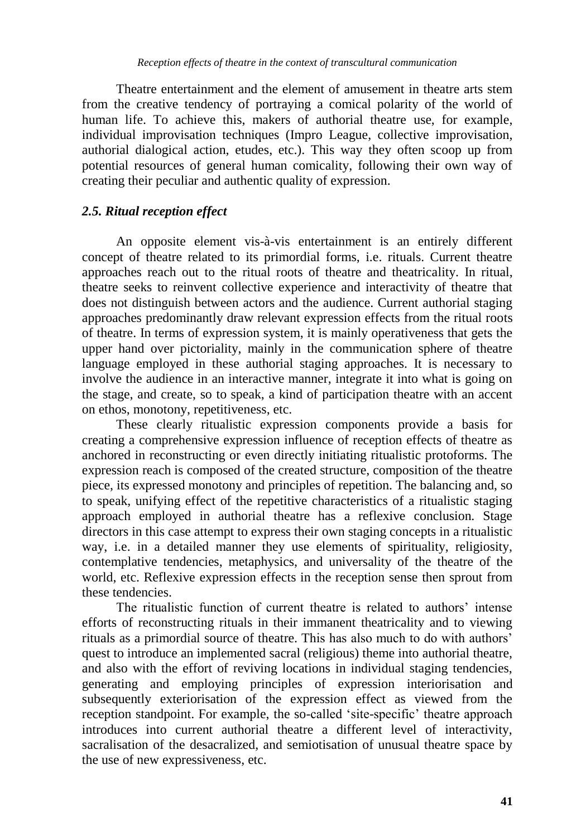Theatre entertainment and the element of amusement in theatre arts stem from the creative tendency of portraying a comical polarity of the world of human life. To achieve this, makers of authorial theatre use, for example, individual improvisation techniques (Impro League, collective improvisation, authorial dialogical action, etudes, etc.). This way they often scoop up from potential resources of general human comicality, following their own way of creating their peculiar and authentic quality of expression.

# *2.5. Ritual reception effect*

An opposite element vis-à-vis entertainment is an entirely different concept of theatre related to its primordial forms, i.e. rituals. Current theatre approaches reach out to the ritual roots of theatre and theatricality. In ritual, theatre seeks to reinvent collective experience and interactivity of theatre that does not distinguish between actors and the audience. Current authorial staging approaches predominantly draw relevant expression effects from the ritual roots of theatre. In terms of expression system, it is mainly operativeness that gets the upper hand over pictoriality, mainly in the communication sphere of theatre language employed in these authorial staging approaches. It is necessary to involve the audience in an interactive manner, integrate it into what is going on the stage, and create, so to speak, a kind of participation theatre with an accent on ethos, monotony, repetitiveness, etc.

These clearly ritualistic expression components provide a basis for creating a comprehensive expression influence of reception effects of theatre as anchored in reconstructing or even directly initiating ritualistic protoforms. The expression reach is composed of the created structure, composition of the theatre piece, its expressed monotony and principles of repetition. The balancing and, so to speak, unifying effect of the repetitive characteristics of a ritualistic staging approach employed in authorial theatre has a reflexive conclusion. Stage directors in this case attempt to express their own staging concepts in a ritualistic way, i.e. in a detailed manner they use elements of spirituality, religiosity, contemplative tendencies, metaphysics, and universality of the theatre of the world, etc. Reflexive expression effects in the reception sense then sprout from these tendencies.

The ritualistic function of current theatre is related to authors' intense efforts of reconstructing rituals in their immanent theatricality and to viewing rituals as a primordial source of theatre. This has also much to do with authors" quest to introduce an implemented sacral (religious) theme into authorial theatre, and also with the effort of reviving locations in individual staging tendencies, generating and employing principles of expression interiorisation and subsequently exteriorisation of the expression effect as viewed from the reception standpoint. For example, the so-called 'site-specific' theatre approach introduces into current authorial theatre a different level of interactivity, sacralisation of the desacralized, and semiotisation of unusual theatre space by the use of new expressiveness, etc.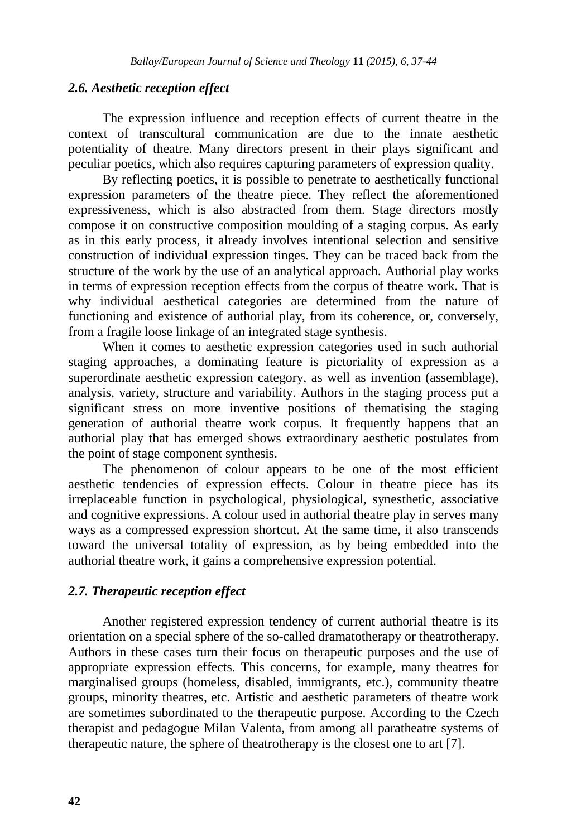## *2.6. Aesthetic reception effect*

The expression influence and reception effects of current theatre in the context of transcultural communication are due to the innate aesthetic potentiality of theatre. Many directors present in their plays significant and peculiar poetics, which also requires capturing parameters of expression quality.

By reflecting poetics, it is possible to penetrate to aesthetically functional expression parameters of the theatre piece. They reflect the aforementioned expressiveness, which is also abstracted from them. Stage directors mostly compose it on constructive composition moulding of a staging corpus. As early as in this early process, it already involves intentional selection and sensitive construction of individual expression tinges. They can be traced back from the structure of the work by the use of an analytical approach. Authorial play works in terms of expression reception effects from the corpus of theatre work. That is why individual aesthetical categories are determined from the nature of functioning and existence of authorial play, from its coherence, or, conversely, from a fragile loose linkage of an integrated stage synthesis.

When it comes to aesthetic expression categories used in such authorial staging approaches, a dominating feature is pictoriality of expression as a superordinate aesthetic expression category, as well as invention (assemblage), analysis, variety, structure and variability. Authors in the staging process put a significant stress on more inventive positions of thematising the staging generation of authorial theatre work corpus. It frequently happens that an authorial play that has emerged shows extraordinary aesthetic postulates from the point of stage component synthesis.

The phenomenon of colour appears to be one of the most efficient aesthetic tendencies of expression effects. Colour in theatre piece has its irreplaceable function in psychological, physiological, synesthetic, associative and cognitive expressions. A colour used in authorial theatre play in serves many ways as a compressed expression shortcut. At the same time, it also transcends toward the universal totality of expression, as by being embedded into the authorial theatre work, it gains a comprehensive expression potential.

### *2.7. Therapeutic reception effect*

Another registered expression tendency of current authorial theatre is its orientation on a special sphere of the so-called dramatotherapy or theatrotherapy. Authors in these cases turn their focus on therapeutic purposes and the use of appropriate expression effects. This concerns, for example, many theatres for marginalised groups (homeless, disabled, immigrants, etc.), community theatre groups, minority theatres, etc. Artistic and aesthetic parameters of theatre work are sometimes subordinated to the therapeutic purpose. According to the Czech therapist and pedagogue Milan Valenta, from among all paratheatre systems of therapeutic nature, the sphere of theatrotherapy is the closest one to art [7].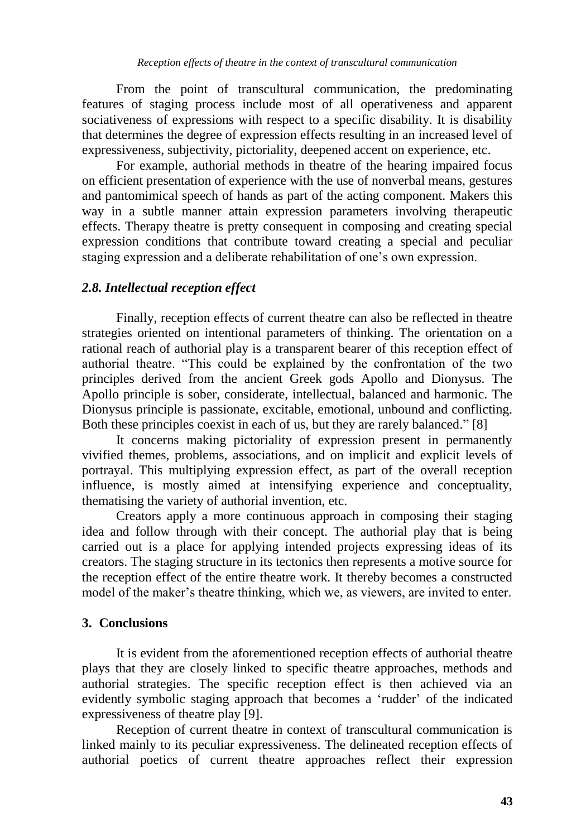From the point of transcultural communication, the predominating features of staging process include most of all operativeness and apparent sociativeness of expressions with respect to a specific disability. It is disability that determines the degree of expression effects resulting in an increased level of expressiveness, subjectivity, pictoriality, deepened accent on experience, etc.

For example, authorial methods in theatre of the hearing impaired focus on efficient presentation of experience with the use of nonverbal means, gestures and pantomimical speech of hands as part of the acting component. Makers this way in a subtle manner attain expression parameters involving therapeutic effects. Therapy theatre is pretty consequent in composing and creating special expression conditions that contribute toward creating a special and peculiar staging expression and a deliberate rehabilitation of one"s own expression.

# *2.8. Intellectual reception effect*

Finally, reception effects of current theatre can also be reflected in theatre strategies oriented on intentional parameters of thinking. The orientation on a rational reach of authorial play is a transparent bearer of this reception effect of authorial theatre. "This could be explained by the confrontation of the two principles derived from the ancient Greek gods Apollo and Dionysus. The Apollo principle is sober, considerate, intellectual, balanced and harmonic. The Dionysus principle is passionate, excitable, emotional, unbound and conflicting. Both these principles coexist in each of us, but they are rarely balanced." [8]

It concerns making pictoriality of expression present in permanently vivified themes, problems, associations, and on implicit and explicit levels of portrayal. This multiplying expression effect, as part of the overall reception influence, is mostly aimed at intensifying experience and conceptuality, thematising the variety of authorial invention, etc.

Creators apply a more continuous approach in composing their staging idea and follow through with their concept. The authorial play that is being carried out is a place for applying intended projects expressing ideas of its creators. The staging structure in its tectonics then represents a motive source for the reception effect of the entire theatre work. It thereby becomes a constructed model of the maker's theatre thinking, which we, as viewers, are invited to enter.

# **3. Conclusions**

It is evident from the aforementioned reception effects of authorial theatre plays that they are closely linked to specific theatre approaches, methods and authorial strategies. The specific reception effect is then achieved via an evidently symbolic staging approach that becomes a "rudder" of the indicated expressiveness of theatre play [9].

Reception of current theatre in context of transcultural communication is linked mainly to its peculiar expressiveness. The delineated reception effects of authorial poetics of current theatre approaches reflect their expression